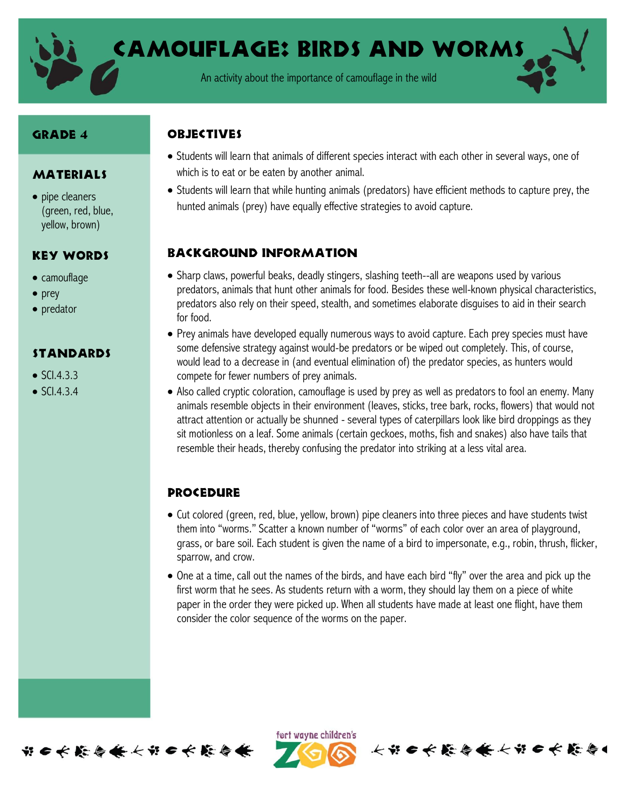

Camouflage: Birds and Worms

An activity about the importance of camouflage in the wild

#### Grade 4

#### MATERIALS

• pipe cleaners (green, red, blue, yellow, brown)

#### Key Words

- camouflage
- $\bullet$  prey
- predator

## **STANDARDS**

- $\bullet$  SCI.4.3.3
- $\bullet$  SCI.4.3.4

# **OBJECTIVES**

- Students will learn that animals of different species interact with each other in several ways, one of which is to eat or be eaten by another animal.
- Students will learn that while hunting animals (predators) have efficient methods to capture prey, the hunted animals (prey) have equally effective strategies to avoid capture.

## Background information

- Sharp claws, powerful beaks, deadly stingers, slashing teeth--all are weapons used by various predators, animals that hunt other animals for food. Besides these well-known physical characteristics, predators also rely on their speed, stealth, and sometimes elaborate disguises to aid in their search for food.
- Prey animals have developed equally numerous ways to avoid capture. Each prey species must have some defensive strategy against would-be predators or be wiped out completely. This, of course, would lead to a decrease in (and eventual elimination of) the predator species, as hunters would compete for fewer numbers of prey animals.
- Also called cryptic coloration, camouflage is used by prey as well as predators to fool an enemy. Many animals resemble objects in their environment (leaves, sticks, tree bark, rocks, flowers) that would not attract attention or actually be shunned - several types of caterpillars look like bird droppings as they sit motionless on a leaf. Some animals (certain geckoes, moths, fish and snakes) also have tails that resemble their heads, thereby confusing the predator into striking at a less vital area.

# **PROCEDURE**

- Cut colored (green, red, blue, yellow, brown) pipe cleaners into three pieces and have students twist them into "worms." Scatter a known number of "worms" of each color over an area of playground, grass, or bare soil. Each student is given the name of a bird to impersonate, e.g., robin, thrush, flicker, sparrow, and crow.
- One at a time, call out the names of the birds, and have each bird "fly" over the area and pick up the first worm that he sees. As students return with a worm, they should lay them on a piece of white paper in the order they were picked up. When all students have made at least one flight, have them consider the color sequence of the worms on the paper.



ført wayne children's

长节 6 长 能 每 条 长节 6 长 能 每 4